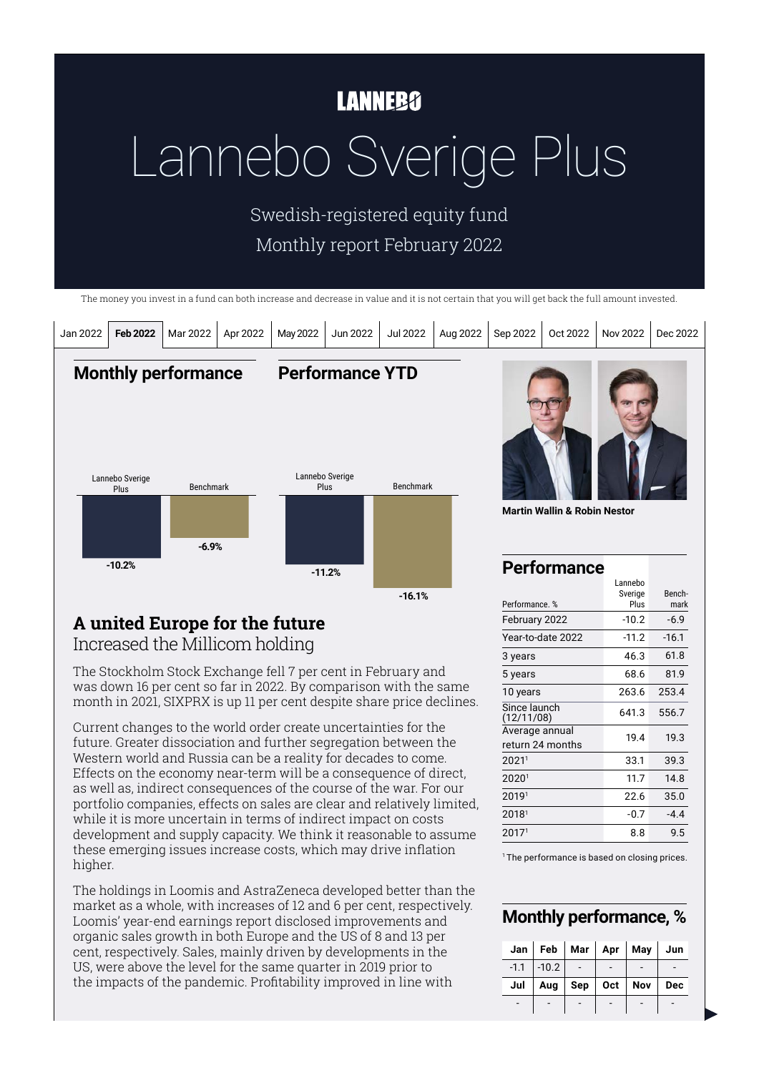## **LANNEBO**

# Lannebo Sverige Plus

Swedish-registered equity fund Monthly report February 2022

The money you invest in a fund can both increase and decrease in value and it is not certain that you will get back the full amount invested.



# **A united Europe for the future**

Increased the Millicom holding

The Stockholm Stock Exchange fell 7 per cent in February and was down 16 per cent so far in 2022. By comparison with the same month in 2021, SIXPRX is up 11 per cent despite share price declines.

Current changes to the world order create uncertainties for the future. Greater dissociation and further segregation between the Western world and Russia can be a reality for decades to come. Effects on the economy near-term will be a consequence of direct, as well as, indirect consequences of the course of the war. For our portfolio companies, effects on sales are clear and relatively limited, while it is more uncertain in terms of indirect impact on costs development and supply capacity. We think it reasonable to assume these emerging issues increase costs, which may drive inflation higher.

The holdings in Loomis and AstraZeneca developed better than the market as a whole, with increases of 12 and 6 per cent, respectively. Loomis' year-end earnings report disclosed improvements and organic sales growth in both Europe and the US of 8 and 13 per cent, respectively. Sales, mainly driven by developments in the US, were above the level for the same quarter in 2019 prior to the impacts of the pandemic. Profitability improved in line with

February 2022 Year-to-date 2022 3 years 5 years 10 years Since launch (12/11/08) Average annual return 24 months 20211 33.1 39.3 20201 11.7 14.8 20191 22.6 35.0  $2018<sup>1</sup>$  -0.7 -4.4 20171 8.8 9.5 -10.2 -11.2 46.3 68.6 263.6 641.3 19.4 -6.9 -16.1 61.8 81.9 253.4 556.7 19.3

<sup>1</sup> The performance is based on closing prices.

#### **Monthly performance, %**

|     | Jan   Feb   Mar   Apr   May   Jun |                 |     |     |
|-----|-----------------------------------|-----------------|-----|-----|
|     | $-1.1$ $-10.2$                    |                 |     |     |
| Jul |                                   | Aug   Sep   Oct | Nov | Dec |
|     |                                   |                 |     |     |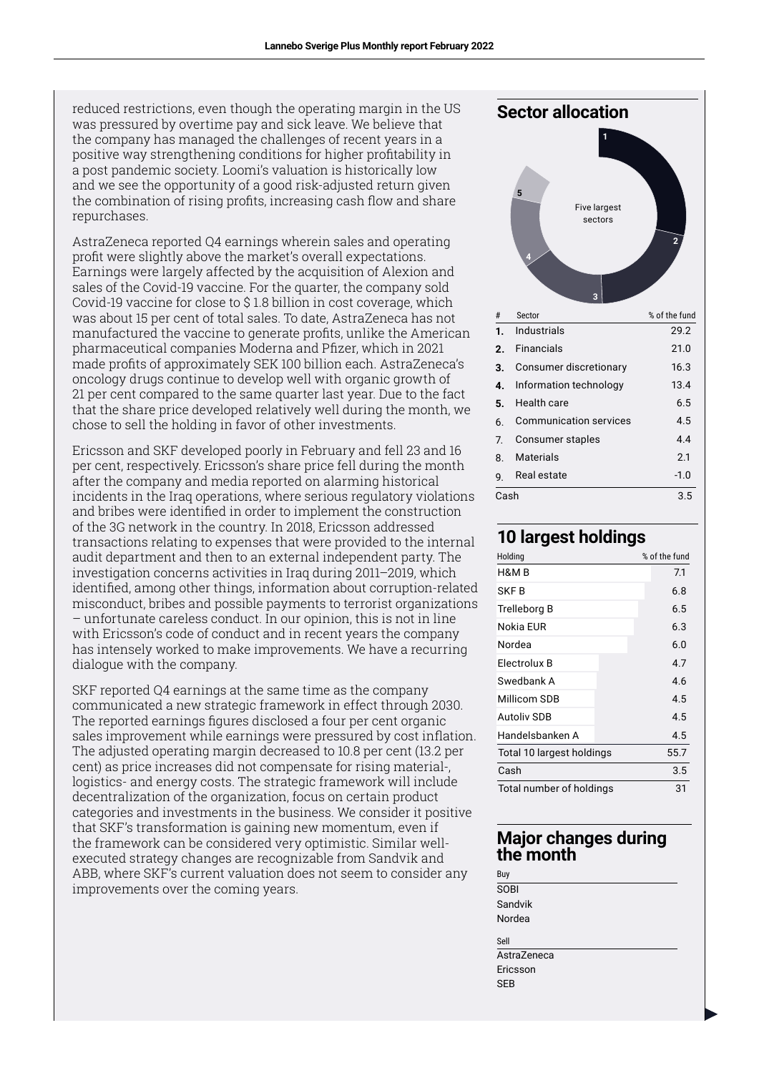reduced restrictions, even though the operating margin in the US was pressured by overtime pay and sick leave. We believe that the company has managed the challenges of recent years in a positive way strengthening conditions for higher profitability in a post pandemic society. Loomi's valuation is historically low and we see the opportunity of a good risk-adjusted return given the combination of rising profits, increasing cash flow and share repurchases.

AstraZeneca reported Q4 earnings wherein sales and operating profit were slightly above the market's overall expectations. Earnings were largely affected by the acquisition of Alexion and sales of the Covid-19 vaccine. For the quarter, the company sold Covid-19 vaccine for close to \$ 1.8 billion in cost coverage, which was about 15 per cent of total sales. To date, AstraZeneca has not manufactured the vaccine to generate profits, unlike the American pharmaceutical companies Moderna and Pfizer, which in 2021 made profits of approximately SEK 100 billion each. AstraZeneca's oncology drugs continue to develop well with organic growth of 21 per cent compared to the same quarter last year. Due to the fact that the share price developed relatively well during the month, we chose to sell the holding in favor of other investments.

Ericsson and SKF developed poorly in February and fell 23 and 16 per cent, respectively. Ericsson's share price fell during the month after the company and media reported on alarming historical incidents in the Iraq operations, where serious regulatory violations and bribes were identified in order to implement the construction of the 3G network in the country. In 2018, Ericsson addressed transactions relating to expenses that were provided to the internal audit department and then to an external independent party. The investigation concerns activities in Iraq during 2011–2019, which identified, among other things, information about corruption-related misconduct, bribes and possible payments to terrorist organizations – unfortunate careless conduct. In our opinion, this is not in line with Ericsson's code of conduct and in recent years the company has intensely worked to make improvements. We have a recurring dialogue with the company.

SKF reported Q4 earnings at the same time as the company communicated a new strategic framework in effect through 2030. The reported earnings figures disclosed a four per cent organic sales improvement while earnings were pressured by cost inflation. The adjusted operating margin decreased to 10.8 per cent (13.2 per cent) as price increases did not compensate for rising material-, logistics- and energy costs. The strategic framework will include decentralization of the organization, focus on certain product categories and investments in the business. We consider it positive that SKF's transformation is gaining new momentum, even if the framework can be considered very optimistic. Similar wellexecuted strategy changes are recognizable from Sandvik and ABB, where SKF's current valuation does not seem to consider any improvements over the coming years.



2

#### **10 largest holdings**

| Holding                   | % of the fund |
|---------------------------|---------------|
| H&M B                     | 7.1           |
| SKF B                     | 6.8           |
| Trelleborg B              | 6.5           |
| Nokia EUR                 | 6.3           |
| Nordea                    | 6.0           |
| Electrolux B              | 4.7           |
| Swedbank A                | 4.6           |
| Millicom SDB              | 4.5           |
| <b>Autoliv SDB</b>        | 4.5           |
| Handelsbanken A           | 4.5           |
| Total 10 largest holdings | 55.7          |
| Cash                      | 3.5           |
| Total number of holdings  | 31            |

#### **Major changes during the month**

- Buy SOBI Sandvik Nordea Sell
- **AstraZeneca** Ericsson SEB